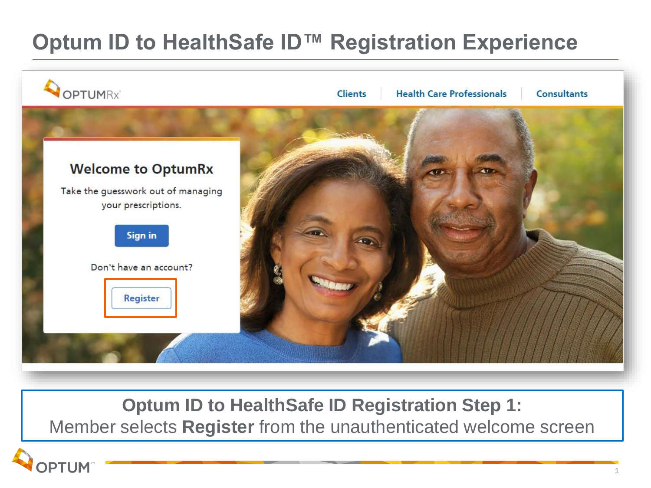# **Optum ID to HealthSafe ID™ Registration Experience**



**Optum ID to HealthSafe ID Registration Step 1:**

Member selects **Register** from the unauthenticated welcome screen

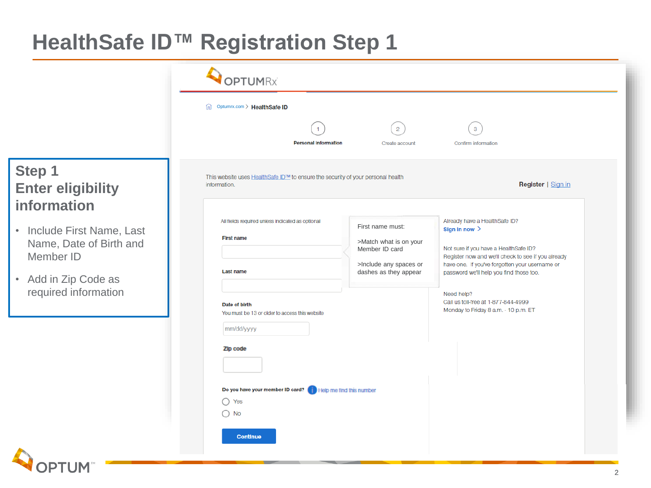## **HealthSafe ID™ Registration Step 1**

OPTUM

|                                                                                                                    | <b>OPTUMRx</b>                                                                                              |                                                 |                                                                                                                                                                                                                                                               |  |
|--------------------------------------------------------------------------------------------------------------------|-------------------------------------------------------------------------------------------------------------|-------------------------------------------------|---------------------------------------------------------------------------------------------------------------------------------------------------------------------------------------------------------------------------------------------------------------|--|
|                                                                                                                    | m Optumrx.com > HealthSafe ID                                                                               |                                                 |                                                                                                                                                                                                                                                               |  |
|                                                                                                                    | <b>Personal Information</b>                                                                                 | $\overline{2}$<br>Create account                | $\mathbf{3}$<br>Confirm information                                                                                                                                                                                                                           |  |
| Step 1<br><b>Enter eligibility</b><br>information                                                                  | This website uses HealthSafe ID™ to ensure the security of your personal health<br>information.             |                                                 | Register   Sign in                                                                                                                                                                                                                                            |  |
| • Include First Name, Last<br>Name, Date of Birth and<br>Member ID<br>• Add in Zip Code as<br>required information | All fields required unless indicated as optional<br>First name must:<br><b>First name</b><br>Member ID card | >Match what is on your                          | Already have a HealthSafe ID?<br>Sign in now $\geq$<br>Not sure if you have a HealthSafe ID?<br>Register now and we'll check to see if you already<br>have one. If you've forgotten your username or<br>password we'll help you find those too.<br>Need help? |  |
|                                                                                                                    | <b>Last name</b>                                                                                            | >Include any spaces or<br>dashes as they appear |                                                                                                                                                                                                                                                               |  |
|                                                                                                                    | Date of birth<br>You must be 13 or older to access this website<br>mm/dd/yyyy                               |                                                 | Call us toll-free at 1-877-844-4999<br>Monday to Friday 8 a.m. - 10 p.m. ET                                                                                                                                                                                   |  |
|                                                                                                                    | Zip code                                                                                                    |                                                 |                                                                                                                                                                                                                                                               |  |
|                                                                                                                    | Do you have your member ID card? (Fig. Help me find this number<br>$\bigcirc$ Yes<br>$\bigcirc$ No          |                                                 |                                                                                                                                                                                                                                                               |  |
|                                                                                                                    | <b>Continue</b>                                                                                             |                                                 |                                                                                                                                                                                                                                                               |  |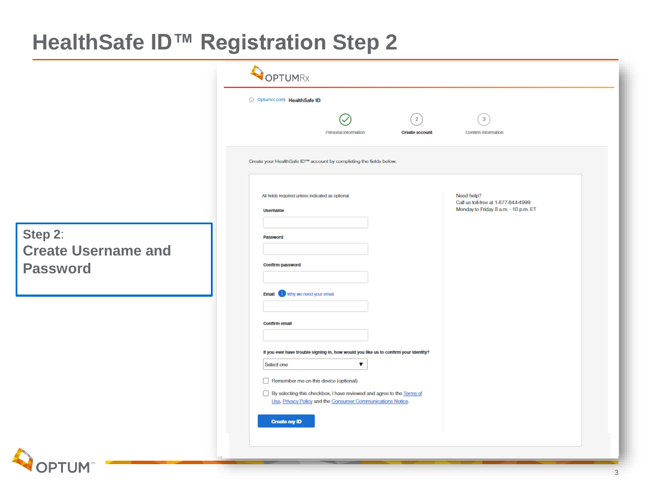### **HealthSafe ID™ Registration Step 2**

|                                                          | OPTUMRX                                                                                                                                                          |  |  |  |  |
|----------------------------------------------------------|------------------------------------------------------------------------------------------------------------------------------------------------------------------|--|--|--|--|
|                                                          | fil Optumrx.com HealthSafe ID                                                                                                                                    |  |  |  |  |
|                                                          | $\left( \frac{1}{2} \right)$<br>$\mathbf{3}$<br>Personal information<br>Confirm information<br><b>Create account</b>                                             |  |  |  |  |
|                                                          | Create your HealthSafe ID™ account by completing the fields below.                                                                                               |  |  |  |  |
|                                                          | Need help?<br>All fields required unless indicated as optional<br>Call us toll-free at 1-877-844-4999<br>Monday to Friday 8 a.m. - 10 p.m. ET<br><b>Username</b> |  |  |  |  |
| Step 2:<br><b>Create Username and</b><br><b>Password</b> | Password<br>Confirm password                                                                                                                                     |  |  |  |  |
|                                                          | Email Why we need your email                                                                                                                                     |  |  |  |  |
|                                                          | <b>Confirm email</b><br>If you ever have trouble signing in, how would you like us to confirm your identity?                                                     |  |  |  |  |
|                                                          | Select one<br>▼<br>Remember me on this device (optional)<br>By selecting this checkbox, I have reviewed and agree to the Terms of                                |  |  |  |  |
|                                                          | Use, Privacy Policy and the Consumer Communications Notice.<br><b>Create my ID</b>                                                                               |  |  |  |  |
|                                                          |                                                                                                                                                                  |  |  |  |  |
| <b>OPTUM</b>                                             |                                                                                                                                                                  |  |  |  |  |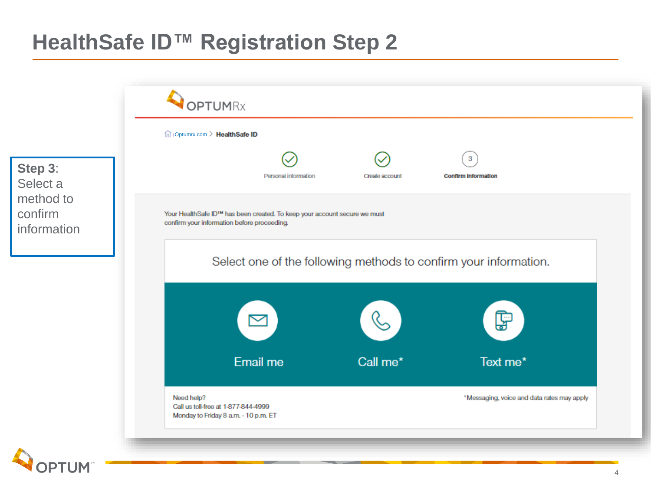### **HealthSafe ID™ Registration Step 2**

|                                                            | in Optumrx.com > HealthSafe ID                                                            |                                                                                                                          |                |                                            |  |  |
|------------------------------------------------------------|-------------------------------------------------------------------------------------------|--------------------------------------------------------------------------------------------------------------------------|----------------|--------------------------------------------|--|--|
| Step 3:<br>Select a<br>method to<br>confirm<br>information |                                                                                           | Personal information                                                                                                     | Create account | 3<br><b>Confirm information</b>            |  |  |
|                                                            |                                                                                           | Your HealthSafe ID™ has been created. To keep your account secure we must<br>confirm your information before proceeding. |                |                                            |  |  |
|                                                            |                                                                                           | Select one of the following methods to confirm your information.                                                         |                |                                            |  |  |
|                                                            |                                                                                           |                                                                                                                          |                | F                                          |  |  |
|                                                            |                                                                                           | Email me                                                                                                                 | Call me*       | Text me*                                   |  |  |
|                                                            | Need help?<br>Call us toll-free at 1-877-844-4999<br>Monday to Friday 8 a.m. - 10 p.m. ET |                                                                                                                          |                | *Messaging, voice and data rates may apply |  |  |